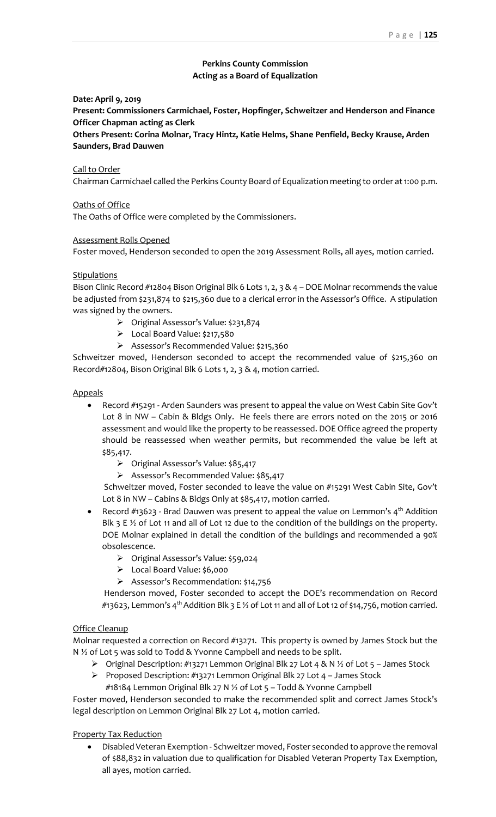# **Perkins County Commission Acting as a Board of Equalization**

**Date: April 9, 2019**

**Present: Commissioners Carmichael, Foster, Hopfinger, Schweitzer and Henderson and Finance Officer Chapman acting as Clerk**

**Others Present: Corina Molnar, Tracy Hintz, Katie Helms, Shane Penfield, Becky Krause, Arden Saunders, Brad Dauwen**

#### Call to Order

Chairman Carmichael called the Perkins County Board of Equalization meeting to order at 1:00 p.m.

#### Oaths of Office

The Oaths of Office were completed by the Commissioners.

#### Assessment Rolls Opened

Foster moved, Henderson seconded to open the 2019 Assessment Rolls, all ayes, motion carried.

### **Stipulations**

Bison Clinic Record #12804 Bison Original Blk 6 Lots 1, 2, 3 & 4 - DOE Molnar recommends the value be adjusted from \$231,874 to \$215,360 due to a clerical error in the Assessor's Office. A stipulation was signed by the owners.

- ➢ Original Assessor's Value: \$231,874
- ➢ Local Board Value: \$217,580
- ➢ Assessor's Recommended Value: \$215,360

Schweitzer moved, Henderson seconded to accept the recommended value of \$215,360 on Record#12804, Bison Original Blk 6 Lots 1, 2, 3 & 4, motion carried.

#### Appeals

- Record #15291 Arden Saunders was present to appeal the value on West Cabin Site Gov't Lot 8 in NW – Cabin & Bldgs Only. He feels there are errors noted on the 2015 or 2016 assessment and would like the property to be reassessed. DOE Office agreed the property should be reassessed when weather permits, but recommended the value be left at \$85,417.
	- ➢ Original Assessor's Value: \$85,417
	- ➢ Assessor's Recommended Value: \$85,417

Schweitzer moved, Foster seconded to leave the value on #15291 West Cabin Site, Gov't Lot 8 in NW – Cabins & Bldgs Only at \$85,417, motion carried.

- Record  $#13623$  Brad Dauwen was present to appeal the value on Lemmon's  $4<sup>th</sup>$  Addition Blk 3 E  $\frac{1}{2}$  of Lot 11 and all of Lot 12 due to the condition of the buildings on the property. DOE Molnar explained in detail the condition of the buildings and recommended a 90% obsolescence.
	- ➢ Original Assessor's Value: \$59,024
	- ➢ Local Board Value: \$6,000
	- ➢ Assessor's Recommendation: \$14,756

Henderson moved, Foster seconded to accept the DOE's recommendation on Record #13623, Lemmon's 4<sup>th</sup> Addition Blk 3 E ½ of Lot 11 and all of Lot 12 of \$14,756, motion carried.

#### Office Cleanup

Molnar requested a correction on Record #13271. This property is owned by James Stock but the N 1/2 of Lot 5 was sold to Todd & Yvonne Campbell and needs to be split.

- $\triangleright$  Original Description: #13271 Lemmon Original Blk 27 Lot 4 & N  $\frac{1}{2}$  of Lot 5 James Stock
- ➢ Proposed Description: #13271 Lemmon Original Blk 27 Lot 4 James Stock
	- #18184 Lemmon Original Blk 27 N ½ of Lot 5 Todd & Yvonne Campbell

Foster moved, Henderson seconded to make the recommended split and correct James Stock's legal description on Lemmon Original Blk 27 Lot 4, motion carried.

### Property Tax Reduction

• Disabled Veteran Exemption - Schweitzer moved, Foster seconded to approve the removal of \$88,832 in valuation due to qualification for Disabled Veteran Property Tax Exemption, all ayes, motion carried.